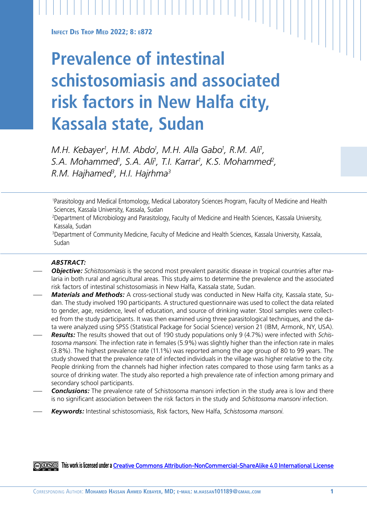**INFECT DIS TROP MED 2022: 8: E872** 

# **Prevalence of intestinal schistosomiasis and associated risk factors in New Halfa city, Kassala state, Sudan**

*M.H. Kebayer1 , H.M. Abdo1 , M.H. Alla Gabo1 , R.M. Ali1 , S.A. Mohammed1 , S.A. Ali1 , T.I. Karrar1 , K.S. Mohammed2 , R.M. Hajhamed3 , H.I. Hajrhma3*

1 Parasitology and Medical Entomology, Medical Laboratory Sciences Program, Faculty of Medicine and Health Sciences, Kassala University, Kassala, Sudan

2 Department of Microbiology and Parasitology, Faculty of Medicine and Health Sciences, Kassala University, Kassala, Sudan

3Department of Community Medicine, Faculty of Medicine and Health Sciences, Kassala University, Kassala, Sudan

## *ABSTRACT:*

- *Objective: Schistosomiasis* is the second most prevalent parasitic disease in tropical countries after malaria in both rural and agricultural areas. This study aims to determine the prevalence and the associated risk factors of intestinal schistosomiasis in New Halfa, Kassala state, Sudan.
- *Materials and Methods:* A cross-sectional study was conducted in New Halfa city, Kassala state, Sudan. The study involved 190 participants. A structured questionnaire was used to collect the data related to gender, age, residence, level of education, and source of drinking water. Stool samples were collected from the study participants. It was then examined using three parasitological techniques, and the data were analyzed using SPSS (Statistical Package for Social Science) version 21 (IBM, Armonk, NY, USA).
- *Results:* The results showed that out of 190 study populations only 9 (4.7%) were infected with *Schistosoma mansoni.* The infection rate in females (5.9%) was slightly higher than the infection rate in males (3.8%). The highest prevalence rate (11.1%) was reported among the age group of 80 to 99 years. The study showed that the prevalence rate of infected individuals in the village was higher relative to the city. People drinking from the channels had higher infection rates compared to those using farm tanks as a source of drinking water. The study also reported a high prevalence rate of infection among primary and secondary school participants.
- *Conclusions:* The prevalence rate of Schistosoma mansoni infection in the study area is low and there is no significant association between the risk factors in the study and *Schistosoma mansoni* infection.
- *Keywords:* Intestinal schistosomiasis, Risk factors, New Halfa, *Schistosoma mansoni.*

**This work is licensed under a [Creative Commons Attribution-NonCommercial-ShareAlike 4.0 International License](https://creativecommons.org/licenses/by-nc-sa/4.0/)**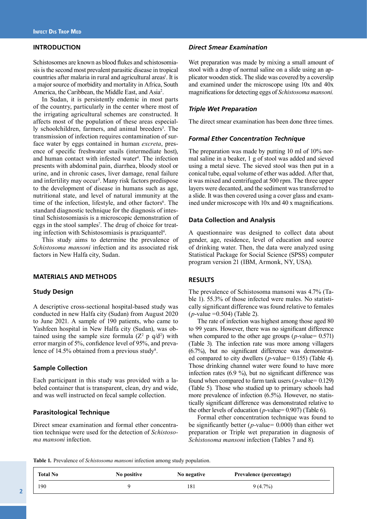## **INTRODUCTION**

Schistosomes are known as blood flukes and schistosomiasis is the second most prevalent parasitic disease in tropical countries after malaria in rural and agricultural areas<sup>1</sup>. It is a major source of morbidity and mortality in Africa, South America, the Caribbean, the Middle East, and Asia<sup>2</sup>.

In Sudan, it is persistently endemic in most parts of the country, particularly in the center where most of the irrigating agricultural schemes are constructed. It affects most of the population of these areas especially schoolchildren, farmers, and animal breeders<sup>3</sup>. The transmission of infection requires contamination of surface water by eggs contained in human *excreta*, presence of specific freshwater snails (intermediate host), and human contact with infested water<sup>4</sup>. The infection presents with abdominal pain, diarrhea, bloody stool or urine, and in chronic cases, liver damage, renal failure and infertility may occur<sup>5</sup>. Many risk factors predispose to the development of disease in humans such as age, nutritional state, and level of natural immunity at the time of the infection, lifestyle, and other factors<sup>6</sup>. The standard diagnostic technique for the diagnosis of intestinal Schistosomiasis is a microscopic demonstration of eggs in the stool samples<sup>7</sup>. The drug of choice for treating infection with Schistosomiasis is praziquantel<sup>4</sup>.

This study aims to determine the prevalence of *Schistosoma mansoni* infection and its associated risk factors in New Halfa city, Sudan.

## **MATERIALS AND METHODS**

#### **Study Design**

A descriptive cross-sectional hospital-based study was conducted in new Halfa city (Sudan) from August 2020 to June 2021. A sample of 190 patients, who came to Yashfeen hospital in New Halfa city (Sudan), was obtained using the sample size formula  $(Z^2 p q/d^2)$  with error margin of 5%, confidence level of 95%, and prevalence of 14.5% obtained from a previous study<sup>8</sup>.

## **Sample Collection**

Each participant in this study was provided with a labeled container that is transparent, clean, dry and wide, and was well instructed on fecal sample collection.

## **Parasitological Technique**

Direct smear examination and formal ether concentration technique were used for the detection of *Schistosoma mansoni* infection.

## *Direct Smear Examination*

Wet preparation was made by mixing a small amount of stool with a drop of normal saline on a slide using an applicator wooden stick. The slide was covered by a coverslip and examined under the microscope using 10x and 40x magnifications for detecting eggs of *Schistosoma mansoni.*

## *Triple Wet Preparation*

The direct smear examination has been done three times.

## *Formal Ether Concentration Technique*

The preparation was made by putting 10 ml of 10% normal saline in a beaker, 1 g of stool was added and sieved using a metal sieve. The sieved stool was then put in a conical tube, equal volume of ether was added. After that, it was mixed and centrifuged at 500 rpm. The three upper layers were decanted, and the sediment was transferred to a slide. It was then covered using a cover glass and examined under microscope with 10x and 40 x magnifications.

## **Data Collection and Analysis**

A questionnaire was designed to collect data about gender, age, residence, level of education and source of drinking water. Then, the data were analyzed using Statistical Package for Social Science (SPSS) computer program version 21 (IBM, Armonk, NY, USA).

### **RESULTS**

The prevalence of Schistosoma mansoni was 4.7% (Table 1). 55.3% of those infected were males. No statistically significant difference was found relative to females (*p*-value =0.504) (Table 2).

The rate of infection was highest among those aged 80 to 99 years. However, there was no significant difference when compared to the other age groups (*p-*value*=* 0.571) (Table 3)*.* The infection rate was more among villagers (6.7%), but no significant difference was demonstrated compared to city dwellers (*p-*value*=* 0.155) (Table 4). Those drinking channel water were found to have more infection rates (6.9 %), but no significant difference was found when compared to farm tank users (*p-*value*=* 0.129) (Table 5)*.* Those who studied up to primary schools had more prevalence of infection (6.5%). However, no statistically significant difference was demonstrated relative to the other levels of education (*p-*value= 0.907) (Table 6).

Formal ether concentration technique was found to be significantly better (*p-*value*=* 0.000) than either wet preparation or Triple wet preparation in diagnosis of *Schistosoma mansoni* infection (Tables 7 and 8)*.*

**Table 1***.* Prevalence of *Schistosoma mansoni* infection among study population.

| <b>Total No</b> | No positive | No negative | <b>Prevalence (percentage)</b> |  |
|-----------------|-------------|-------------|--------------------------------|--|
| 190             |             | 181         | $9(4.7\%)$                     |  |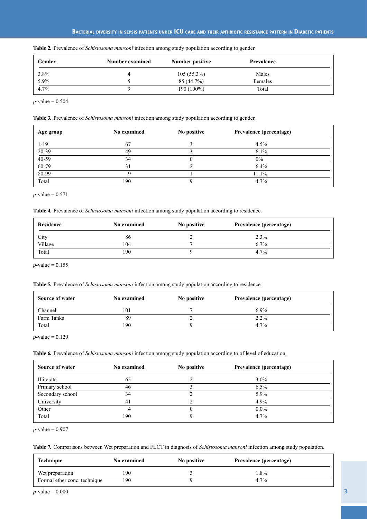| Gender | Number examined | Number positive | <b>Prevalence</b> |  |
|--------|-----------------|-----------------|-------------------|--|
| 3.8%   | Δ               | $105(55.3\%)$   | Males             |  |
| 5.9%   |                 | 85 (44.7%)      | Females           |  |
| 4.7%   |                 | 190 (100%)      | Total             |  |

**Table 2***.* Prevalence of *Schistosoma mansoni* infection among study population according to gender.

*p*-value = 0.504

 $\mathbf{r}$ 

**Table 3***.* Prevalence of *Schistosoma mansoni* infection among study population according to gender.

| Age group | <b>No examined</b> | No positive | Prevalence (percentage) |  |
|-----------|--------------------|-------------|-------------------------|--|
| $1 - 19$  | 67                 |             | $4.5\%$                 |  |
| $20-39$   | 49                 |             | $6.1\%$                 |  |
| $40-59$   | 34                 |             | $0\%$                   |  |
| $60 - 79$ | 31                 |             | 6.4%                    |  |
| $80 - 99$ |                    |             | 11.1%                   |  |
| Total     | 190                |             | 4.7%                    |  |

 $p$ -value = 0.571

**Table 4***.* Prevalence of *Schistosoma mansoni* infection among study population according to residence.

| Residence | No examined | No positive | <b>Prevalence (percentage)</b> |  |
|-----------|-------------|-------------|--------------------------------|--|
| City      | 86          |             | 2.3%                           |  |
| Village   | 104         |             | $6.7\%$                        |  |
| Total     | 190         |             | 4.7%                           |  |

 $p$ -value = 0.155

**Table 5***.* Prevalence of *Schistosoma mansoni* infection among study population according to residence.

| <b>Source of water</b> | No examined | No positive | Prevalence (percentage) |
|------------------------|-------------|-------------|-------------------------|
| Channel                | 101         |             | $6.9\%$                 |
| Farm Tanks             | 89          |             | 2.2%                    |
| Total                  | 190         |             | 4.7%                    |

 $p$ -value = 0.129

**Table 6***.* Prevalence of *Schistosoma mansoni* infection among study population according to of level of education.

| <b>Source of water</b> | No examined | No positive | Prevalence (percentage) |
|------------------------|-------------|-------------|-------------------------|
| Illiterate             | 65          |             | $3.0\%$                 |
| Primary school         | 46          |             | $6.5\%$                 |
| Secondary school       | 34          |             | 5.9%                    |
| University             | 4 j         |             | $4.9\%$                 |
| Other                  |             |             | $0.0\%$                 |
| Total                  | 190         |             | 4.7%                    |

 $p$ -value = 0.907

**Table 7***.* Comparisons between Wet preparation and FECT in diagnosis of *Schistosoma mansoni* infection among study population.

| Technique                    | <b>No examined</b> | No positive | Prevalence (percentage) |  |
|------------------------------|--------------------|-------------|-------------------------|--|
| Wet preparation              | 190                |             | $.8\%$                  |  |
| Formal ether conc. technique | 190                |             | 4.7%                    |  |